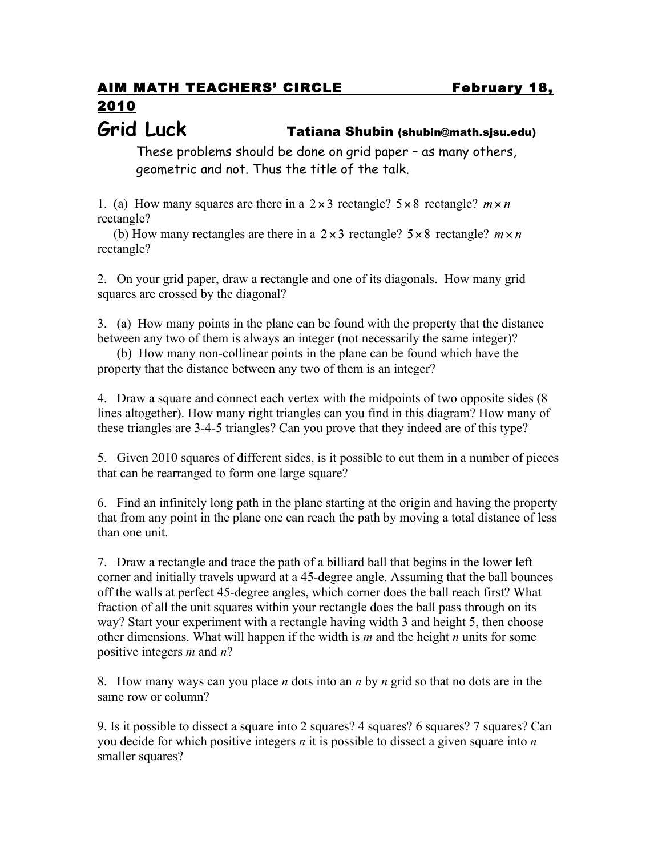## AIM MATH TEACHERS' CIRCLE February 18, 2010

## **Grid Luck** Tatiana Shubin (shubin@math.sjsu.edu)

These problems should be done on grid paper – as many others, geometric and not. Thus the title of the talk.

1. (a) How many squares are there in a  $2 \times 3$  rectangle?  $5 \times 8$  rectangle?  $m \times n$ rectangle?

(b) How many rectangles are there in a  $2 \times 3$  rectangle?  $5 \times 8$  rectangle?  $m \times n$ rectangle?

2. On your grid paper, draw a rectangle and one of its diagonals. How many grid squares are crossed by the diagonal?

3. (a) How many points in the plane can be found with the property that the distance between any two of them is always an integer (not necessarily the same integer)?

 (b) How many non-collinear points in the plane can be found which have the property that the distance between any two of them is an integer?

4. Draw a square and connect each vertex with the midpoints of two opposite sides (8 lines altogether). How many right triangles can you find in this diagram? How many of these triangles are 3-4-5 triangles? Can you prove that they indeed are of this type?

5. Given 2010 squares of different sides, is it possible to cut them in a number of pieces that can be rearranged to form one large square?

6. Find an infinitely long path in the plane starting at the origin and having the property that from any point in the plane one can reach the path by moving a total distance of less than one unit.

7. Draw a rectangle and trace the path of a billiard ball that begins in the lower left corner and initially travels upward at a 45-degree angle. Assuming that the ball bounces off the walls at perfect 45-degree angles, which corner does the ball reach first? What fraction of all the unit squares within your rectangle does the ball pass through on its way? Start your experiment with a rectangle having width 3 and height 5, then choose other dimensions. What will happen if the width is *m* and the height *n* units for some positive integers *m* and *n*?

8. How many ways can you place *n* dots into an *n* by *n* grid so that no dots are in the same row or column?

9. Is it possible to dissect a square into 2 squares? 4 squares? 6 squares? 7 squares? Can you decide for which positive integers *n* it is possible to dissect a given square into *n* smaller squares?